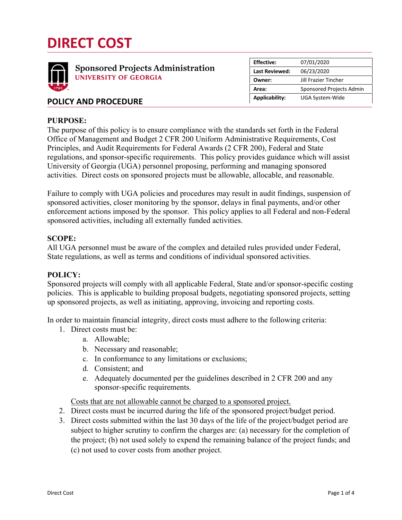# **DIRECT COST**



|  |  |  | <b>POLICY AND PROCEDURE</b> |  |  |  |
|--|--|--|-----------------------------|--|--|--|
|--|--|--|-----------------------------|--|--|--|

## **PURPOSE:**

The purpose of this policy is to ensure compliance with the standards set forth in the Federal Office of Management and Budget 2 CFR 200 Uniform Administrative Requirements, Cost Principles, and Audit Requirements for Federal Awards (2 CFR 200), Federal and State regulations, and sponsor-specific requirements. This policy provides guidance which will assist University of Georgia (UGA) personnel proposing, performing and managing sponsored activities. Direct costs on sponsored projects must be allowable, allocable, and reasonable.

Failure to comply with UGA policies and procedures may result in audit findings, suspension of sponsored activities, closer monitoring by the sponsor, delays in final payments, and/or other enforcement actions imposed by the sponsor. This policy applies to all Federal and non-Federal sponsored activities, including all externally funded activities.

## **SCOPE:**

All UGA personnel must be aware of the complex and detailed rules provided under Federal, State regulations, as well as terms and conditions of individual sponsored activities.

#### **POLICY:**

Sponsored projects will comply with all applicable Federal, State and/or sponsor-specific costing policies. This is applicable to building proposal budgets, negotiating sponsored projects, setting up sponsored projects, as well as initiating, approving, invoicing and reporting costs.

In order to maintain financial integrity, direct costs must adhere to the following criteria:

- 1. Direct costs must be:
	- a. Allowable;
	- b. Necessary and reasonable;
	- c. In conformance to any limitations or exclusions;
	- d. Consistent; and
	- e. Adequately documented per the guidelines described in 2 CFR 200 and any sponsor-specific requirements.

Costs that are not allowable cannot be charged to a sponsored project.

- 2. Direct costs must be incurred during the life of the sponsored project/budget period.
- 3. Direct costs submitted within the last 30 days of the life of the project/budget period are subject to higher scrutiny to confirm the charges are: (a) necessary for the completion of the project; (b) not used solely to expend the remaining balance of the project funds; and (c) not used to cover costs from another project.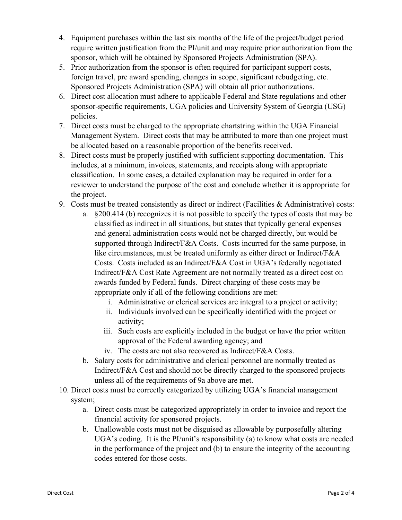- 4. Equipment purchases within the last six months of the life of the project/budget period require written justification from the PI/unit and may require prior authorization from the sponsor, which will be obtained by Sponsored Projects Administration (SPA).
- 5. Prior authorization from the sponsor is often required for participant support costs, foreign travel, pre award spending, changes in scope, significant rebudgeting, etc. Sponsored Projects Administration (SPA) will obtain all prior authorizations.
- 6. Direct cost allocation must adhere to applicable Federal and State regulations and other sponsor-specific requirements, UGA policies and University System of Georgia (USG) policies.
- 7. Direct costs must be charged to the appropriate chartstring within the UGA Financial Management System. Direct costs that may be attributed to more than one project must be allocated based on a reasonable proportion of the benefits received.
- 8. Direct costs must be properly justified with sufficient supporting documentation. This includes, at a minimum, invoices, statements, and receipts along with appropriate classification. In some cases, a detailed explanation may be required in order for a reviewer to understand the purpose of the cost and conclude whether it is appropriate for the project.
- 9. Costs must be treated consistently as direct or indirect (Facilities & Administrative) costs:
	- a. §200.414 (b) recognizes it is not possible to specify the types of costs that may be classified as indirect in all situations, but states that typically general expenses and general administration costs would not be charged directly, but would be supported through Indirect/F&A Costs. Costs incurred for the same purpose, in like circumstances, must be treated uniformly as either direct or Indirect/F&A Costs. Costs included as an Indirect/F&A Cost in UGA's federally negotiated Indirect/F&A Cost Rate Agreement are not normally treated as a direct cost on awards funded by Federal funds. Direct charging of these costs may be appropriate only if all of the following conditions are met:
		- i. Administrative or clerical services are integral to a project or activity;
		- ii. Individuals involved can be specifically identified with the project or activity;
		- iii. Such costs are explicitly included in the budget or have the prior written approval of the Federal awarding agency; and
		- iv. The costs are not also recovered as Indirect/F&A Costs.
	- b. Salary costs for administrative and clerical personnel are normally treated as Indirect/F&A Cost and should not be directly charged to the sponsored projects unless all of the requirements of 9a above are met.
- 10. Direct costs must be correctly categorized by utilizing UGA's financial management system;
	- a. Direct costs must be categorized appropriately in order to invoice and report the financial activity for sponsored projects.
	- b. Unallowable costs must not be disguised as allowable by purposefully altering UGA's coding. It is the PI/unit's responsibility (a) to know what costs are needed in the performance of the project and (b) to ensure the integrity of the accounting codes entered for those costs.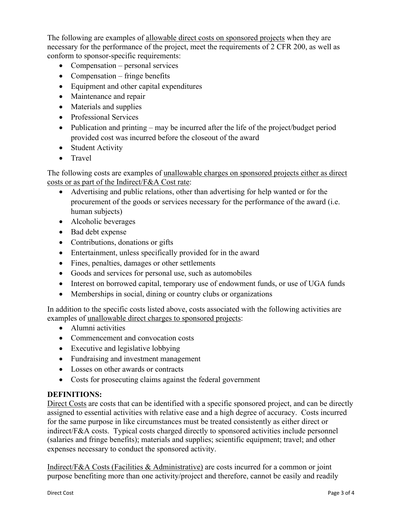The following are examples of allowable direct costs on sponsored projects when they are necessary for the performance of the project, meet the requirements of 2 CFR 200, as well as conform to sponsor-specific requirements:

- Compensation personal services
- Compensation fringe benefits
- Equipment and other capital expenditures
- Maintenance and repair
- Materials and supplies
- Professional Services
- Publication and printing may be incurred after the life of the project/budget period provided cost was incurred before the closeout of the award
- Student Activity
- Travel

The following costs are examples of unallowable charges on sponsored projects either as direct costs or as part of the Indirect/F&A Cost rate:

- Advertising and public relations, other than advertising for help wanted or for the procurement of the goods or services necessary for the performance of the award (i.e. human subjects)
- Alcoholic beverages
- Bad debt expense
- Contributions, donations or gifts
- Entertainment, unless specifically provided for in the award
- Fines, penalties, damages or other settlements
- Goods and services for personal use, such as automobiles
- Interest on borrowed capital, temporary use of endowment funds, or use of UGA funds
- Memberships in social, dining or country clubs or organizations

In addition to the specific costs listed above, costs associated with the following activities are examples of unallowable direct charges to sponsored projects:

- Alumni activities
- Commencement and convocation costs
- Executive and legislative lobbying
- Fundraising and investment management
- Losses on other awards or contracts
- Costs for prosecuting claims against the federal government

# **DEFINITIONS:**

Direct Costs are costs that can be identified with a specific sponsored project, and can be directly assigned to essential activities with relative ease and a high degree of accuracy. Costs incurred for the same purpose in like circumstances must be treated consistently as either direct or indirect/F&A costs. Typical costs charged directly to sponsored activities include personnel (salaries and fringe benefits); materials and supplies; scientific equipment; travel; and other expenses necessary to conduct the sponsored activity.

Indirect/F&A Costs (Facilities & Administrative) are costs incurred for a common or joint purpose benefiting more than one activity/project and therefore, cannot be easily and readily